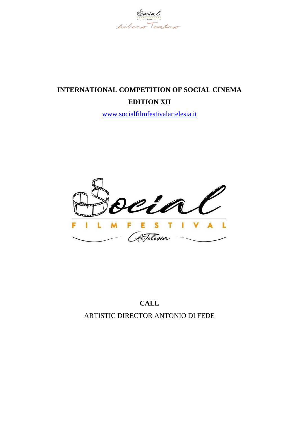

# **INTERNATIONAL COMPETITION OF SOCIAL CINEMA EDITION XII**

[www.socialfilmfestivalartelesia.it](http://www.socialfilmfestivalartelesia.it/)



## **CALL** ARTISTIC DIRECTOR ANTONIO DI FEDE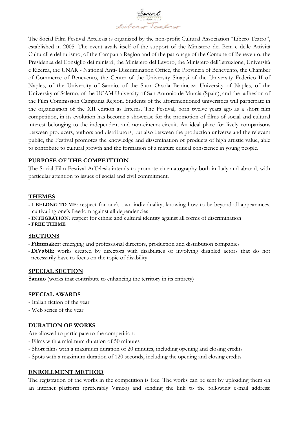

The Social Film Festival Artelesia is organized by the non-profit Cultural Association "Libero Teatro", established in 2005. The event avails itself of the support of the Ministero dei Beni e delle Attività Culturali e del turismo, of the Campania Region and of the patronage of the Comune of Benevento, the Presidenza del Consiglio dei ministri, the Ministero del Lavoro, the Ministero dell'Istruzione, Università e Ricerca, the UNAR - National Anti- Discrimination Office, the Provincia of Benevento, the Chamber of Commerce of Benevento, the Center of the University Sinapsi of the University Federico II of Naples, of the University of Sannio, of the Suor Orsola Benincasa University of Naples, of the University of Salerno, of the UCAM University of San Antonio de Murcia (Spain), and the adhesion of the Film Commission Campania Region. Students of the aforementioned universities will participate in the organization of the XII edition as Interns. The Festival, born twelve years ago as a short film competition, in its evolution has become a showcase for the promotion of films of social and cultural interest belonging to the independent and non-cinema circuit. An ideal place for lively comparisons between producers, authors and distributors, but also between the production universe and the relevant public, the Festival promotes the knowledge and dissemination of products of high artistic value, able to contribute to cultural growth and the formation of a mature critical conscience in young people.

## **PURPOSE OF THE COMPETITION**

The Social Film Festival ArTelesia intends to promote cinematography both in Italy and abroad, with particular attention to issues of social and civil commitment.

## **THEMES**

- **- I BELONG TO ME**: respect for one's own individuality, knowing how to be beyond all appearances, cultivating one's freedom against all dependencies
- **- INTEGRATION:** respect for ethnic and cultural identity against all forms of discrimination

**- FREE THEME**

#### **SECTIONS**

- **Filmmaker:** emerging and professional directors, production and distribution companies
- **DiVabili:** works created by directors with disabilities or involving disabled actors that do not necessarily have to focus on the topic of disability

#### **SPECIAL SECTION**

**Sannio** (works that contribute to enhancing the territory in its entirety)

#### **SPECIAL AWARDS**

- Italian fiction of the year
- Web series of the year

#### **DURATION OF WORKS**

Are allowed to participate to the competition:

- Films with a minimum duration of 50 minutes
- Short films with a maximum duration of 20 minutes, including opening and closing credits
- Spots with a maximum duration of 120 seconds, including the opening and closing credits

#### **ENROLLMENT METHOD**

The registration of the works in the competition is free. The works can be sent by uploading them on an internet platform (preferably Vimeo) and sending the link to the following e-mail address: